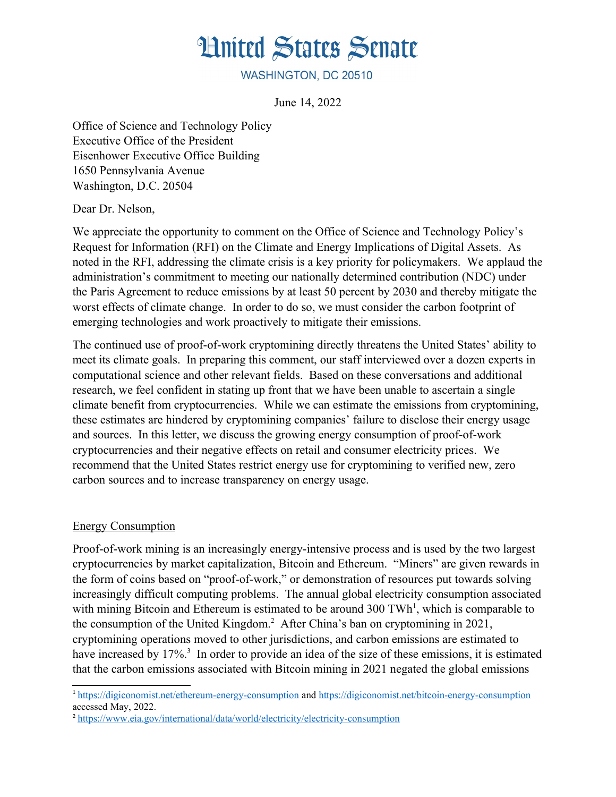# **Hnited States Senate**

WASHINGTON, DC 20510

June 14, 2022

Office of Science and Technology Policy Executive Office of the President Eisenhower Executive Office Building 1650 Pennsylvania Avenue Washington, D.C. 20504

Dear Dr. Nelson,

We appreciate the opportunity to comment on the Office of Science and Technology Policy's Request for Information (RFI) on the Climate and Energy Implications of Digital Assets. As noted in the RFI, addressing the climate crisis is a key priority for policymakers. We applaud the administration's commitment to meeting our nationally determined contribution (NDC) under the Paris Agreement to reduce emissions by at least 50 percent by 2030 and thereby mitigate the worst effects of climate change. In order to do so, we must consider the carbon footprint of emerging technologies and work proactively to mitigate their emissions.

The continued use of proof-of-work cryptomining directly threatens the United States' ability to meet its climate goals. In preparing this comment, our staff interviewed over a dozen experts in computational science and other relevant fields. Based on these conversations and additional research, we feel confident in stating up front that we have been unable to ascertain a single climate benefit from cryptocurrencies. While we can estimate the emissions from cryptomining, these estimates are hindered by cryptomining companies' failure to disclose their energy usage and sources. In this letter, we discuss the growing energy consumption of proof-of-work cryptocurrencies and their negative effects on retail and consumer electricity prices. We recommend that the United States restrict energy use for cryptomining to verified new, zero carbon sources and to increase transparency on energy usage.

### Energy Consumption

Proof-of-work mining is an increasingly energy-intensive process and is used by the two largest cryptocurrencies by market capitalization, Bitcoin and Ethereum. "Miners" are given rewards in the form of coins based on "proof-of-work," or demonstration of resources put towards solving increasingly difficult computing problems. The annual global electricity consumption associated with mining Bitcoin and Ethereum is estimated to be around 300 TWh<sup>1</sup>, which is comparable to the consumption of the United Kingdom.<sup>2</sup> After China's ban on cryptomining in 2021, cryptomining operations moved to other jurisdictions, and carbon emissions are estimated to have increased by 17%.<sup>3</sup> In order to provide an idea of the size of these emissions, it is estimated that the carbon emissions associated with Bitcoin mining in 2021 negated the global emissions

<sup>&</sup>lt;sup>1</sup>https://digiconomist.net/ethereum-energy-consumption and https://digiconomist.net/bitcoin-energy-consumption accessed May, 2022.

<sup>&</sup>lt;sup>2</sup> https://www.eia.gov/international/data/world/electricity/electricity-consumption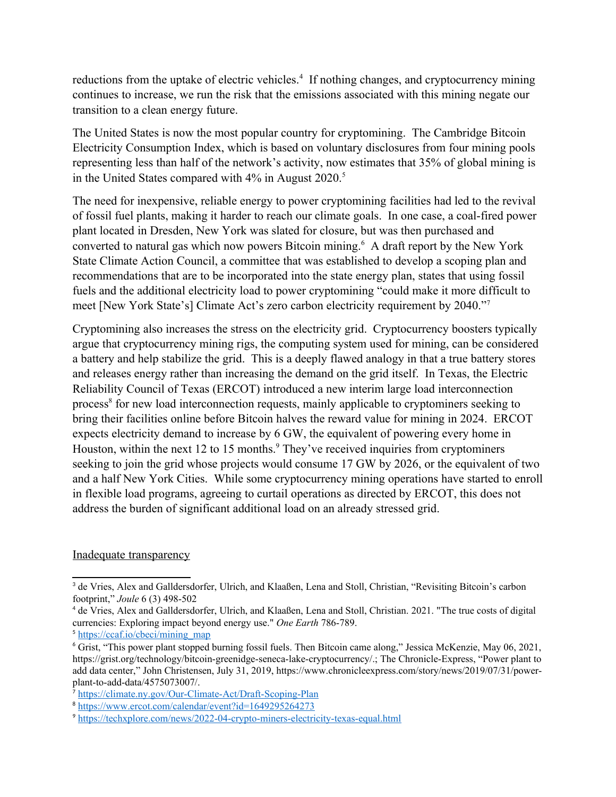reductions from the uptake of electric vehicles.<sup>4</sup> If nothing changes, and cryptocurrency mining continues to increase, we run the risk that the emissions associated with this mining negate our transition to a clean energy future.

The United States is now the most popular country for cryptomining. The Cambridge Bitcoin Electricity Consumption Index, which is based on voluntary disclosures from four mining pools representing less than half of the network's activity, now estimates that 35% of global mining is in the United States compared with  $4\%$  in August 2020.<sup>5</sup>

The need for inexpensive, reliable energy to power cryptomining facilities had led to the revival of fossil fuel plants, making it harder to reach our climate goals. In one case, a coal-fired power plant located in Dresden, New York was slated for closure, but was then purchased and converted to natural gas which now powers Bitcoin mining.<sup>6</sup> A draft report by the New York State Climate Action Council, a committee that was established to develop a scoping plan and recommendations that are to be incorporated into the state energy plan, states that using fossil fuels and the additional electricity load to power cryptomining "could make it more difficult to meet [New York State's] Climate Act's zero carbon electricity requirement by 2040."<sup>7</sup>

Cryptomining also increases the stress on the electricity grid. Cryptocurrency boosters typically argue that cryptocurrency mining rigs, the computing system used for mining, can be considered a battery and help stabilize the grid. This is a deeply flawed analogy in that a true battery stores and releases energy rather than increasing the demand on the grid itself. In Texas, the Electric Reliability Council of Texas (ERCOT) introduced a new interim large load interconnection process<sup>8</sup> for new load interconnection requests, mainly applicable to cryptominers seeking to bring their facilities online before Bitcoin halves the reward value for mining in 2024. ERCOT expects electricity demand to increase by 6 GW, the equivalent of powering every home in Houston, within the next 12 to 15 months. They've received inquiries from cryptominers seeking to join the grid whose projects would consume 17 GW by 2026, or the equivalent of two and a half New York Cities. While some cryptocurrency mining operations have started to enroll in flexible load programs, agreeing to curtail operations as directed by ERCOT, this does not address the burden of significant additional load on an already stressed grid.

#### Inadequate transparency

<sup>&</sup>lt;sup>3</sup> de Vries, Alex and Galldersdorfer, Ulrich, and Klaaßen, Lena and Stoll, Christian, "Revisiting Bitcoin's carbon footprint," *Joule* 6 (3) 498-502

<sup>&</sup>lt;sup>4</sup> de Vries, Alex and Galldersdorfer, Ulrich, and Klaaßen, Lena and Stoll, Christian, 2021. "The true costs of digital currencies: Exploring impact beyond energy use." *One Earth* 786-789.

<sup>&</sup>lt;sup>5</sup> https://ccaf.io/cbeci/mining\_map

<sup>6</sup> Grist, "This power plant stopped burning fossil fuels. Then Bitcoin came along," Jessica McKenzie, May 06, 2021, https://grist.org/technology/bitcoin-greenidge-seneca-lake-cryptocurrency/.; The Chronicle-Express, "Power plant to add data center," John Christensen, July 31, 2019, https://www.chronicleexpress.com/story/news/2019/07/31/powerplant-to-add-data/4575073007/.

<sup>&</sup>lt;sup>7</sup> https://climate.ny.gov/Our-Climate-Act/Draft-Scoping-Plan

<sup>&</sup>lt;sup>8</sup> https://www.ercot.com/calendar/event?id=1649295264273

<sup>&</sup>lt;sup>9</sup> https://techxplore.com/news/2022-04-crypto-miners-electricity-texas-equal.html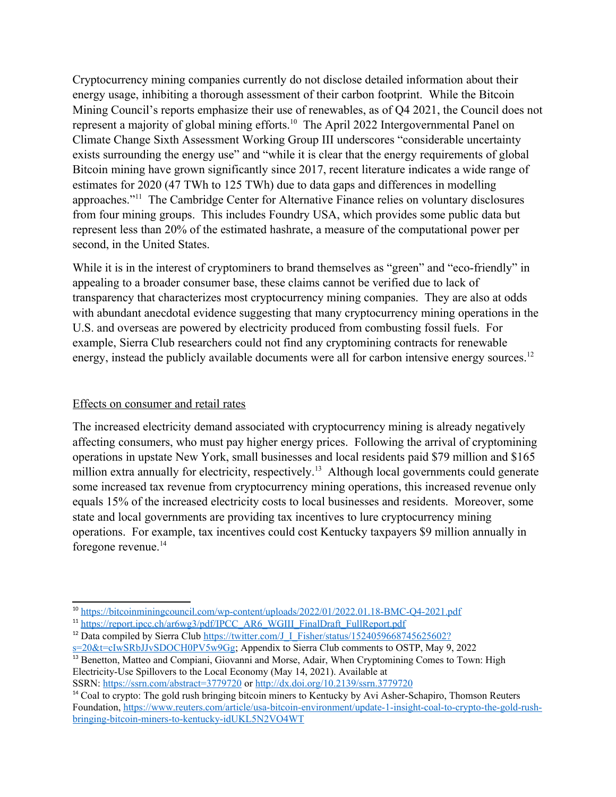Cryptocurrency mining companies currently do not disclose detailed information about their energy usage, inhibiting a thorough assessment of their carbon footprint. While the Bitcoin Mining Council's reports emphasize their use of renewables, as of Q4 2021, the Council does not represent a majority of global mining efforts.<sup>10</sup> The April 2022 Intergovernmental Panel on Climate Change Sixth Assessment Working Group III underscores "considerable uncertainty exists surrounding the energy use" and "while it is clear that the energy requirements of global Bitcoin mining have grown significantly since 2017, recent literature indicates a wide range of estimates for 2020 (47 TWh to 125 TWh) due to data gaps and differences in modelling approaches."11 The Cambridge Center for Alternative Finance relies on voluntary disclosures from four mining groups. This includes Foundry USA, which provides some public data but represent less than 20% of the estimated hashrate, a measure of the computational power per second, in the United States.

While it is in the interest of cryptominers to brand themselves as "green" and "eco-friendly" in appealing to a broader consumer base, these claims cannot be verified due to lack of transparency that characterizes most cryptocurrency mining companies. They are also at odds with abundant anecdotal evidence suggesting that many cryptocurrency mining operations in the U.S. and overseas are powered by electricity produced from combusting fossil fuels. For example, Sierra Club researchers could not find any cryptomining contracts for renewable energy, instead the publicly available documents were all for carbon intensive energy sources.<sup>12</sup>

## Effects on consumer and retail rates

The increased electricity demand associated with cryptocurrency mining is already negatively affecting consumers, who must pay higher energy prices. Following the arrival of cryptomining operations in upstate New York, small businesses and local residents paid \$79 million and \$165 million extra annually for electricity, respectively.<sup>13</sup> Although local governments could generate some increased tax revenue from cryptocurrency mining operations, this increased revenue only equals 15% of the increased electricity costs to local businesses and residents. Moreover, some state and local governments are providing tax incentives to lure cryptocurrency mining operations. For example, tax incentives could cost Kentucky taxpayers \$9 million annually in foregone revenue. $^{14}$ 

<sup>10</sup> https://bitcoinminingcouncil.com/wp-content/uploads/2022/01/2022.01.18-BMC-Q4-2021.pdf

<sup>&</sup>lt;sup>11</sup> https://report.ipcc.ch/ar6wg3/pdf/IPCC\_AR6\_WGIII\_FinalDraft\_FullReport.pdf

<sup>&</sup>lt;sup>12</sup> Data compiled by Sierra Club https://twitter.com/J\_I\_Fisher/status/1524059668745625602?

 $s=20$ &t=cIwSRbJJvSDOCH0PV5w9Gg; Appendix to Sierra Club comments to OSTP, May 9, 2022 <sup>13</sup> Benetton, Matteo and Compiani, Giovanni and Morse, Adair, When Cryptomining Comes to Town: High Electricity-Use Spillovers to the Local Economy (May 14, 2021). Available at SSRN: https://ssrn.com/abstract=3779720 or http://dx.doi.org/10.2139/ssrn.3779720

<sup>&</sup>lt;sup>14</sup> Coal to crypto: The gold rush bringing bitcoin miners to Kentucky by Avi Asher-Schapiro, Thomson Reuters Foundation, https://www.reuters.com/article/usa-bitcoin-environment/update-1-insight-coal-to-crypto-the-gold-rushbringing-bitcoin-miners-to-kentucky-idUKL5N2VO4WT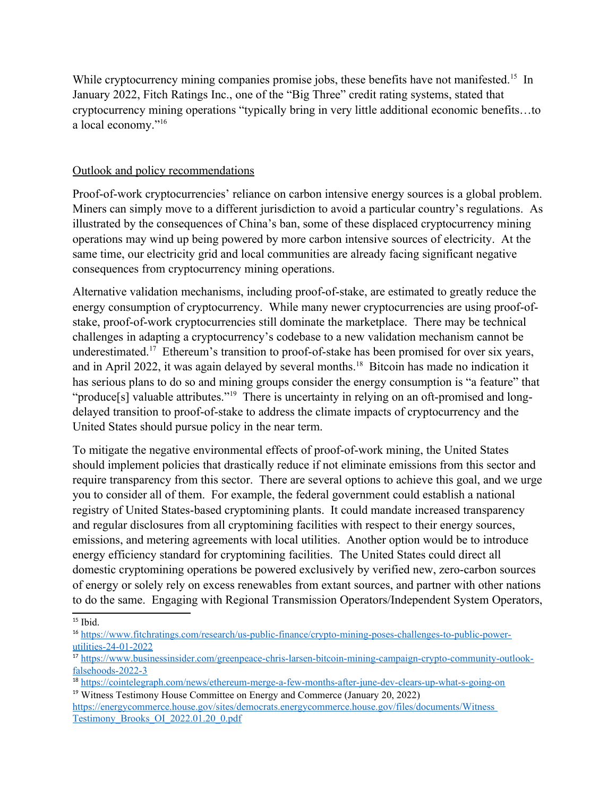While cryptocurrency mining companies promise jobs, these benefits have not manifested.<sup>15</sup> In January 2022, Fitch Ratings Inc., one of the "Big Three" credit rating systems, stated that cryptocurrency mining operations "typically bring in very little additional economic benefits…to a local economy."<sup>16</sup>

## Outlook and policy recommendations

Proof-of-work cryptocurrencies' reliance on carbon intensive energy sources is a global problem. Miners can simply move to a different jurisdiction to avoid a particular country's regulations. As illustrated by the consequences of China's ban, some of these displaced cryptocurrency mining operations may wind up being powered by more carbon intensive sources of electricity. At the same time, our electricity grid and local communities are already facing significant negative consequences from cryptocurrency mining operations.

Alternative validation mechanisms, including proof-of-stake, are estimated to greatly reduce the energy consumption of cryptocurrency. While many newer cryptocurrencies are using proof-ofstake, proof-of-work cryptocurrencies still dominate the marketplace. There may be technical challenges in adapting a cryptocurrency's codebase to a new validation mechanism cannot be underestimated.<sup>17</sup> Ethereum's transition to proof-of-stake has been promised for over six years, and in April 2022, it was again delayed by several months.<sup>18</sup> Bitcoin has made no indication it has serious plans to do so and mining groups consider the energy consumption is "a feature" that "produce[s] valuable attributes."<sup>19</sup> There is uncertainty in relying on an oft-promised and longdelayed transition to proof-of-stake to address the climate impacts of cryptocurrency and the United States should pursue policy in the near term.

To mitigate the negative environmental effects of proof-of-work mining, the United States should implement policies that drastically reduce if not eliminate emissions from this sector and require transparency from this sector. There are several options to achieve this goal, and we urge you to consider all of them. For example, the federal government could establish a national registry of United States-based cryptomining plants. It could mandate increased transparency and regular disclosures from all cryptomining facilities with respect to their energy sources, emissions, and metering agreements with local utilities. Another option would be to introduce energy efficiency standard for cryptomining facilities. The United States could direct all domestic cryptomining operations be powered exclusively by verified new, zero-carbon sources of energy or solely rely on excess renewables from extant sources, and partner with other nations to do the same. Engaging with Regional Transmission Operators/Independent System Operators,

 $15$  Ibid.

<sup>16</sup> https://www.fitchratings.com/research/us-public-finance/crypto-mining-poses-challenges-to-public-powerutilities-24-01-2022

<sup>17</sup> https://www.businessinsider.com/greenpeace-chris-larsen-bitcoin-mining-campaign-crypto-community-outlookfalsehoods-2022-3

<sup>18</sup> https://cointelegraph.com/news/ethereum-merge-a-few-months-after-june-dev-clears-up-what-s-going-on <sup>19</sup> Witness Testimony House Committee on Energy and Commerce (January 20, 2022)

https://energycommerce.house.gov/sites/democrats.energycommerce.house.gov/files/documents/Witness Testimony\_Brooks\_OI\_2022.01.20\_0.pdf